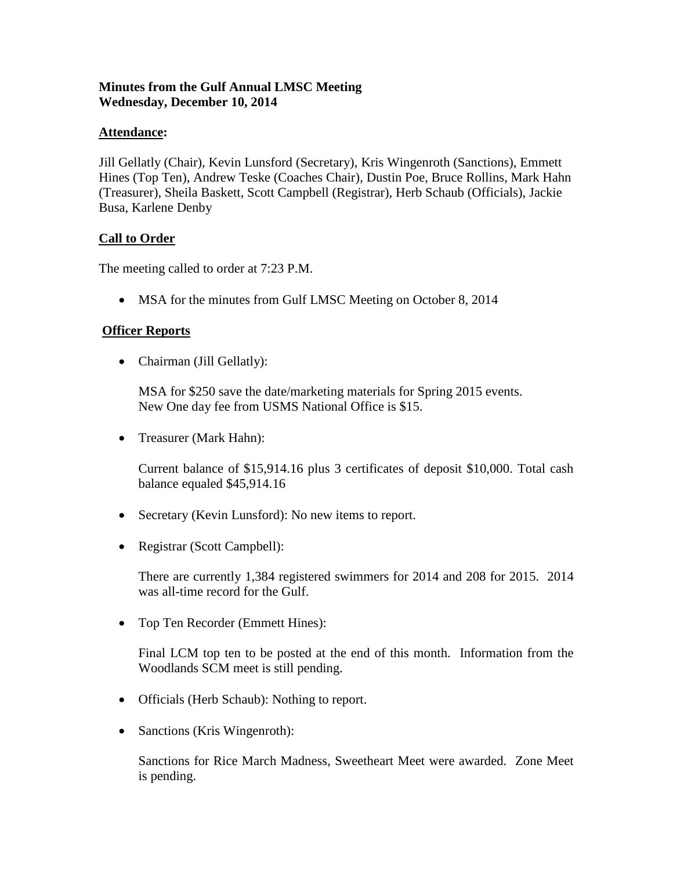## **Minutes from the Gulf Annual LMSC Meeting Wednesday, December 10, 2014**

### **Attendance:**

Jill Gellatly (Chair), Kevin Lunsford (Secretary), Kris Wingenroth (Sanctions), Emmett Hines (Top Ten), Andrew Teske (Coaches Chair), Dustin Poe, Bruce Rollins, Mark Hahn (Treasurer), Sheila Baskett, Scott Campbell (Registrar), Herb Schaub (Officials), Jackie Busa, Karlene Denby

## **Call to Order**

The meeting called to order at 7:23 P.M.

• MSA for the minutes from Gulf LMSC Meeting on October 8, 2014

## **Officer Reports**

• Chairman (Jill Gellatly):

MSA for \$250 save the date/marketing materials for Spring 2015 events. New One day fee from USMS National Office is \$15.

• Treasurer (Mark Hahn):

Current balance of \$15,914.16 plus 3 certificates of deposit \$10,000. Total cash balance equaled \$45,914.16

- Secretary (Kevin Lunsford): No new items to report.
- Registrar (Scott Campbell):

There are currently 1,384 registered swimmers for 2014 and 208 for 2015. 2014 was all-time record for the Gulf.

• Top Ten Recorder (Emmett Hines):

Final LCM top ten to be posted at the end of this month. Information from the Woodlands SCM meet is still pending.

- Officials (Herb Schaub): Nothing to report.
- Sanctions (Kris Wingenroth):

Sanctions for Rice March Madness, Sweetheart Meet were awarded. Zone Meet is pending.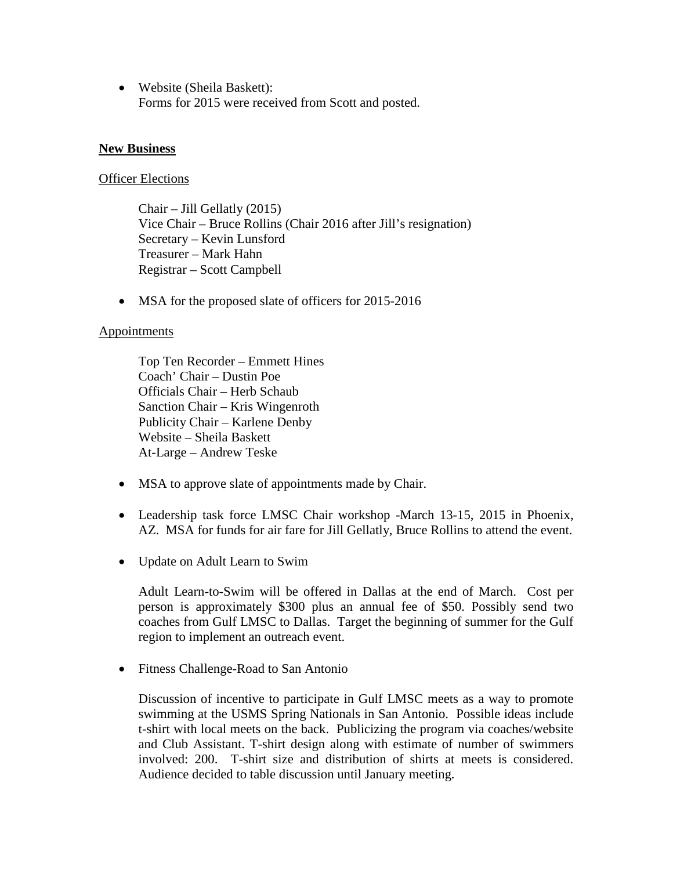• Website (Sheila Baskett): Forms for 2015 were received from Scott and posted.

#### **New Business**

#### **Officer Elections**

Chair – Jill Gellatly (2015) Vice Chair – Bruce Rollins (Chair 2016 after Jill's resignation) Secretary – Kevin Lunsford Treasurer – Mark Hahn Registrar – Scott Campbell

• MSA for the proposed slate of officers for 2015-2016

#### **Appointments**

Top Ten Recorder – Emmett Hines Coach' Chair – Dustin Poe Officials Chair – Herb Schaub Sanction Chair – Kris Wingenroth Publicity Chair – Karlene Denby Website – Sheila Baskett At-Large – Andrew Teske

- MSA to approve slate of appointments made by Chair.
- Leadership task force LMSC Chair workshop -March 13-15, 2015 in Phoenix, AZ. MSA for funds for air fare for Jill Gellatly, Bruce Rollins to attend the event.
- Update on Adult Learn to Swim

Adult Learn-to-Swim will be offered in Dallas at the end of March. Cost per person is approximately \$300 plus an annual fee of \$50. Possibly send two coaches from Gulf LMSC to Dallas. Target the beginning of summer for the Gulf region to implement an outreach event.

• Fitness Challenge-Road to San Antonio

Discussion of incentive to participate in Gulf LMSC meets as a way to promote swimming at the USMS Spring Nationals in San Antonio. Possible ideas include t-shirt with local meets on the back. Publicizing the program via coaches/website and Club Assistant. T-shirt design along with estimate of number of swimmers involved: 200. T-shirt size and distribution of shirts at meets is considered. Audience decided to table discussion until January meeting.